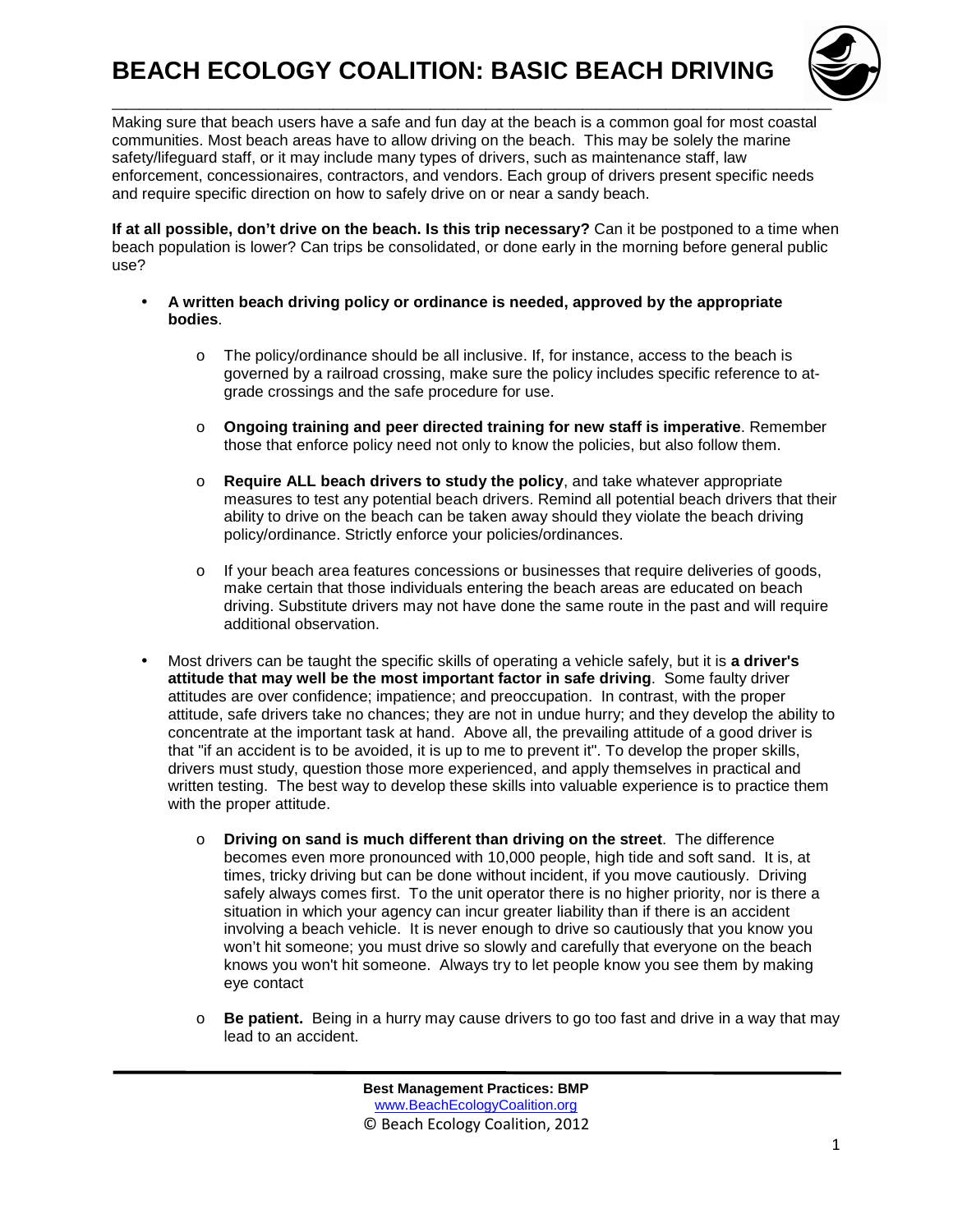

Making sure that beach users have a safe and fun day at the beach is a common goal for most coastal communities. Most beach areas have to allow driving on the beach. This may be solely the marine safety/lifeguard staff, or it may include many types of drivers, such as maintenance staff, law enforcement, concessionaires, contractors, and vendors. Each group of drivers present specific needs and require specific direction on how to safely drive on or near a sandy beach.

**If at all possible, don't drive on the beach. Is this trip necessary?** Can it be postponed to a time when beach population is lower? Can trips be consolidated, or done early in the morning before general public use?

- **A written beach driving policy or ordinance is needed, approved by the appropriate bodies**.
	- o The policy/ordinance should be all inclusive. If, for instance, access to the beach is governed by a railroad crossing, make sure the policy includes specific reference to atgrade crossings and the safe procedure for use.
	- o **Ongoing training and peer directed training for new staff is imperative**. Remember those that enforce policy need not only to know the policies, but also follow them.
	- o **Require ALL beach drivers to study the policy**, and take whatever appropriate measures to test any potential beach drivers. Remind all potential beach drivers that their ability to drive on the beach can be taken away should they violate the beach driving policy/ordinance. Strictly enforce your policies/ordinances.
	- $\circ$  If your beach area features concessions or businesses that require deliveries of goods, make certain that those individuals entering the beach areas are educated on beach driving. Substitute drivers may not have done the same route in the past and will require additional observation.
- Most drivers can be taught the specific skills of operating a vehicle safely, but it is **a driver's attitude that may well be the most important factor in safe driving**. Some faulty driver attitudes are over confidence; impatience; and preoccupation. In contrast, with the proper attitude, safe drivers take no chances; they are not in undue hurry; and they develop the ability to concentrate at the important task at hand. Above all, the prevailing attitude of a good driver is that "if an accident is to be avoided, it is up to me to prevent it". To develop the proper skills, drivers must study, question those more experienced, and apply themselves in practical and written testing. The best way to develop these skills into valuable experience is to practice them with the proper attitude.
	- o **Driving on sand is much different than driving on the street**. The difference becomes even more pronounced with 10,000 people, high tide and soft sand. It is, at times, tricky driving but can be done without incident, if you move cautiously. Driving safely always comes first. To the unit operator there is no higher priority, nor is there a situation in which your agency can incur greater liability than if there is an accident involving a beach vehicle. It is never enough to drive so cautiously that you know you won't hit someone; you must drive so slowly and carefully that everyone on the beach knows you won't hit someone. Always try to let people know you see them by making eye contact
	- o **Be patient.** Being in a hurry may cause drivers to go too fast and drive in a way that may lead to an accident.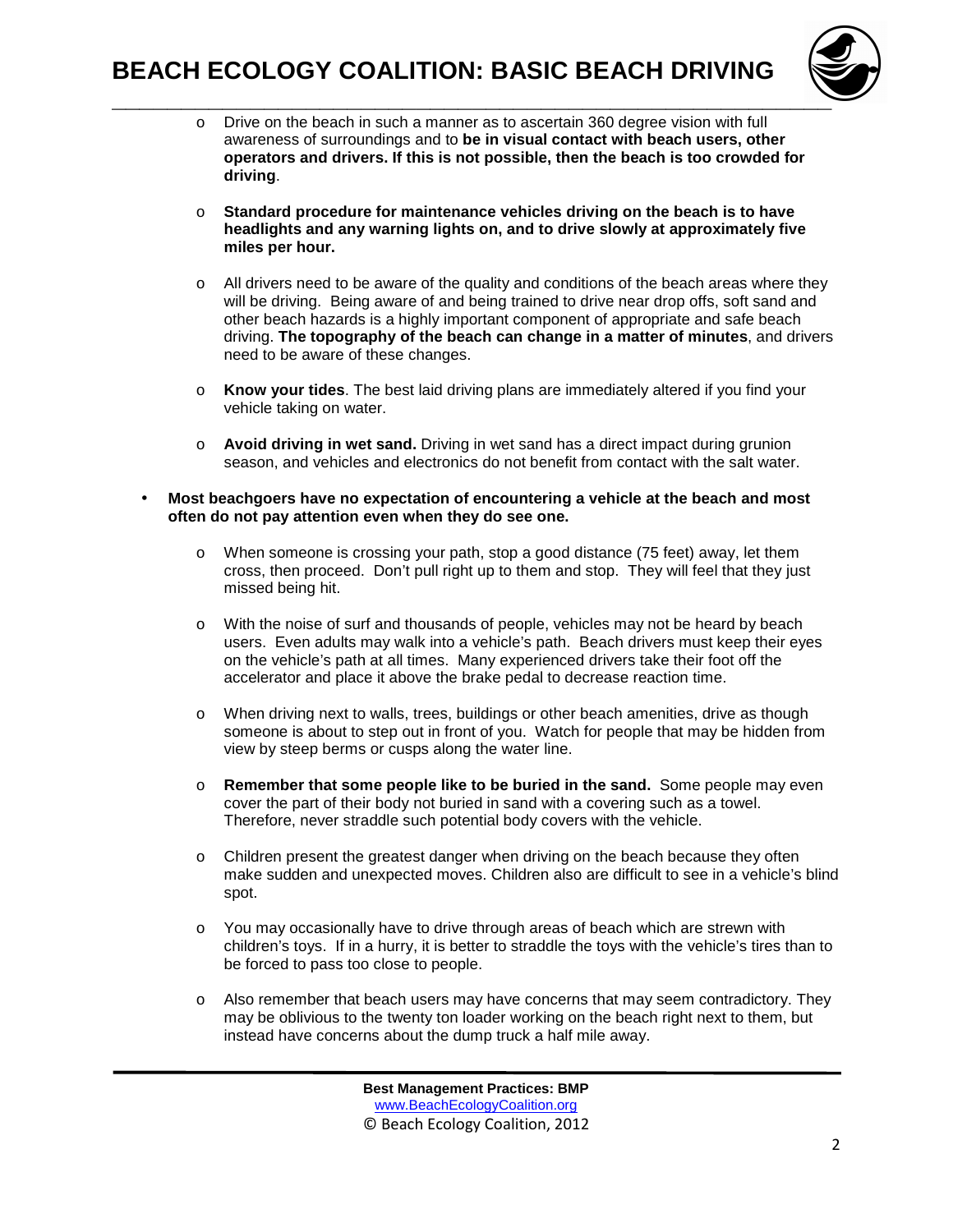

- $\circ$  Drive on the beach in such a manner as to ascertain 360 degree vision with full awareness of surroundings and to **be in visual contact with beach users, other operators and drivers. If this is not possible, then the beach is too crowded for driving**.
- o **Standard procedure for maintenance vehicles driving on the beach is to have headlights and any warning lights on, and to drive slowly at approximately five miles per hour.**
- $\circ$  All drivers need to be aware of the quality and conditions of the beach areas where they will be driving. Being aware of and being trained to drive near drop offs, soft sand and other beach hazards is a highly important component of appropriate and safe beach driving. **The topography of the beach can change in a matter of minutes**, and drivers need to be aware of these changes.
- o **Know your tides**. The best laid driving plans are immediately altered if you find your vehicle taking on water.
- o **Avoid driving in wet sand.** Driving in wet sand has a direct impact during grunion season, and vehicles and electronics do not benefit from contact with the salt water.
- **Most beachgoers have no expectation of encountering a vehicle at the beach and most often do not pay attention even when they do see one.** 
	- $\circ$  When someone is crossing your path, stop a good distance (75 feet) away, let them cross, then proceed. Don't pull right up to them and stop. They will feel that they just missed being hit.
	- o With the noise of surf and thousands of people, vehicles may not be heard by beach users. Even adults may walk into a vehicle's path. Beach drivers must keep their eyes on the vehicle's path at all times. Many experienced drivers take their foot off the accelerator and place it above the brake pedal to decrease reaction time.
	- o When driving next to walls, trees, buildings or other beach amenities, drive as though someone is about to step out in front of you. Watch for people that may be hidden from view by steep berms or cusps along the water line.
	- o **Remember that some people like to be buried in the sand.** Some people may even cover the part of their body not buried in sand with a covering such as a towel. Therefore, never straddle such potential body covers with the vehicle.
	- o Children present the greatest danger when driving on the beach because they often make sudden and unexpected moves. Children also are difficult to see in a vehicle's blind spot.
	- o You may occasionally have to drive through areas of beach which are strewn with children's toys. If in a hurry, it is better to straddle the toys with the vehicle's tires than to be forced to pass too close to people.
	- $\circ$  Also remember that beach users may have concerns that may seem contradictory. They may be oblivious to the twenty ton loader working on the beach right next to them, but instead have concerns about the dump truck a half mile away.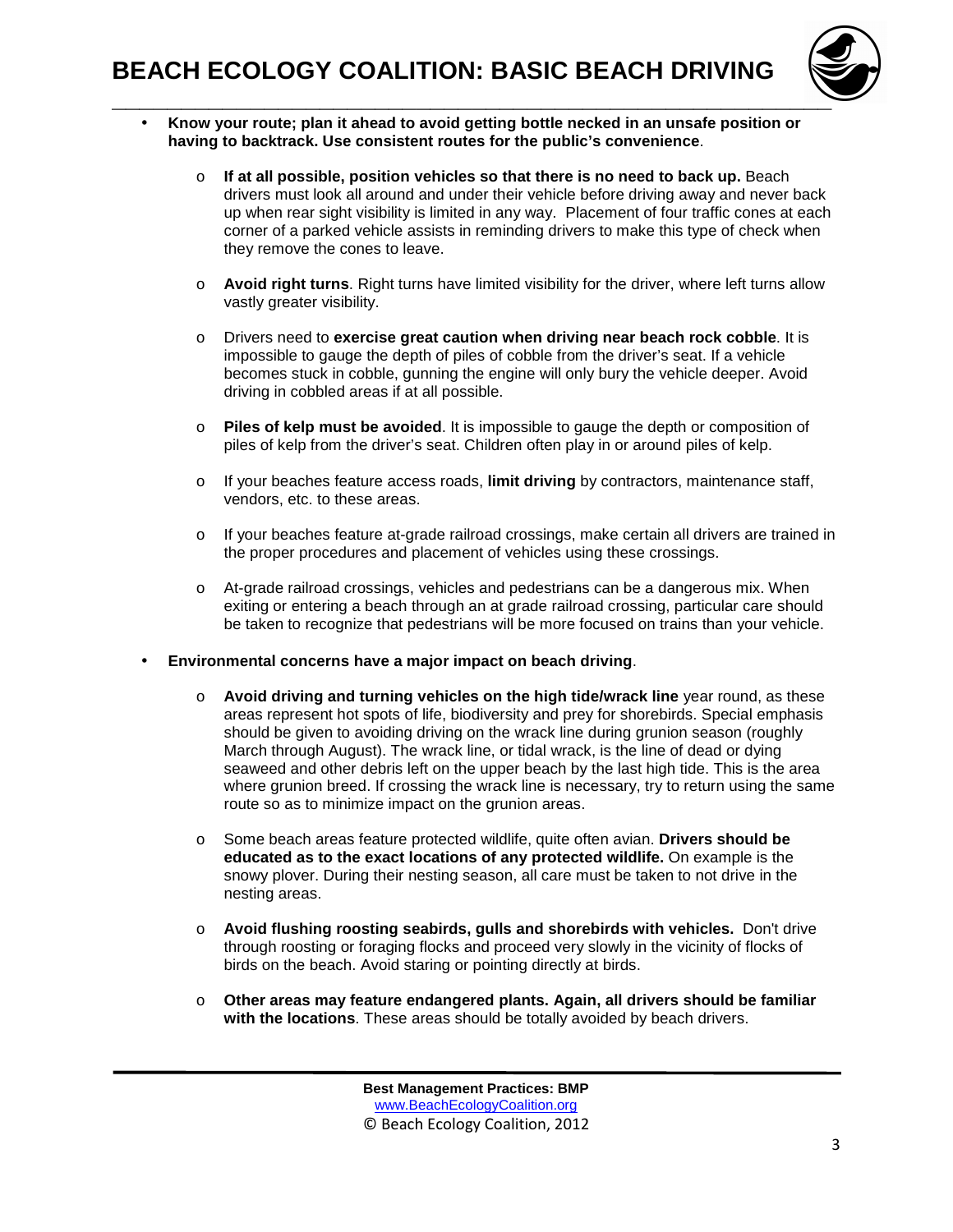

- **Know your route; plan it ahead to avoid getting bottle necked in an unsafe position or having to backtrack. Use consistent routes for the public's convenience**.
	- o **If at all possible, position vehicles so that there is no need to back up.** Beach drivers must look all around and under their vehicle before driving away and never back up when rear sight visibility is limited in any way. Placement of four traffic cones at each corner of a parked vehicle assists in reminding drivers to make this type of check when they remove the cones to leave.
	- o **Avoid right turns**. Right turns have limited visibility for the driver, where left turns allow vastly greater visibility.
	- o Drivers need to **exercise great caution when driving near beach rock cobble**. It is impossible to gauge the depth of piles of cobble from the driver's seat. If a vehicle becomes stuck in cobble, gunning the engine will only bury the vehicle deeper. Avoid driving in cobbled areas if at all possible.
	- o **Piles of kelp must be avoided**. It is impossible to gauge the depth or composition of piles of kelp from the driver's seat. Children often play in or around piles of kelp.
	- o If your beaches feature access roads, **limit driving** by contractors, maintenance staff, vendors, etc. to these areas.
	- o If your beaches feature at-grade railroad crossings, make certain all drivers are trained in the proper procedures and placement of vehicles using these crossings.
	- o At-grade railroad crossings, vehicles and pedestrians can be a dangerous mix. When exiting or entering a beach through an at grade railroad crossing, particular care should be taken to recognize that pedestrians will be more focused on trains than your vehicle.
- **Environmental concerns have a major impact on beach driving**.
	- o **Avoid driving and turning vehicles on the high tide/wrack line** year round, as these areas represent hot spots of life, biodiversity and prey for shorebirds. Special emphasis should be given to avoiding driving on the wrack line during grunion season (roughly March through August). The wrack line, or tidal wrack, is the line of dead or dying seaweed and other debris left on the upper beach by the last high tide. This is the area where grunion breed. If crossing the wrack line is necessary, try to return using the same route so as to minimize impact on the grunion areas.
	- o Some beach areas feature protected wildlife, quite often avian. **Drivers should be educated as to the exact locations of any protected wildlife.** On example is the snowy plover. During their nesting season, all care must be taken to not drive in the nesting areas.
	- o **Avoid flushing roosting seabirds, gulls and shorebirds with vehicles.** Don't drive through roosting or foraging flocks and proceed very slowly in the vicinity of flocks of birds on the beach. Avoid staring or pointing directly at birds.
	- o **Other areas may feature endangered plants. Again, all drivers should be familiar with the locations**. These areas should be totally avoided by beach drivers.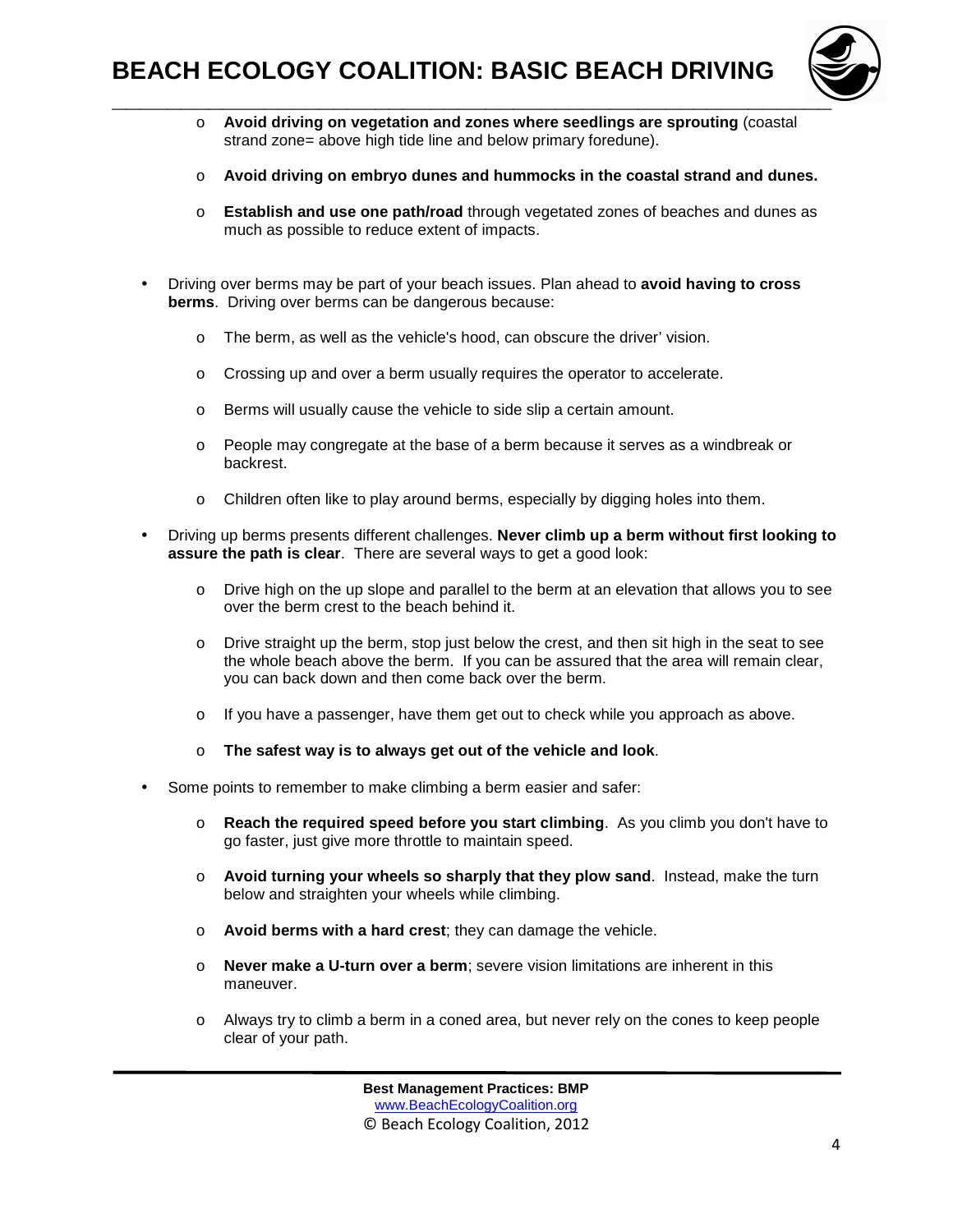

- o **Avoid driving on vegetation and zones where seedlings are sprouting** (coastal strand zone= above high tide line and below primary foredune).
- o **Avoid driving on embryo dunes and hummocks in the coastal strand and dunes.**
- o **Establish and use one path/road** through vegetated zones of beaches and dunes as much as possible to reduce extent of impacts.
- Driving over berms may be part of your beach issues. Plan ahead to **avoid having to cross berms**. Driving over berms can be dangerous because:
	- o The berm, as well as the vehicle's hood, can obscure the driver' vision.
	- o Crossing up and over a berm usually requires the operator to accelerate.
	- o Berms will usually cause the vehicle to side slip a certain amount.
	- o People may congregate at the base of a berm because it serves as a windbreak or backrest.
	- o Children often like to play around berms, especially by digging holes into them.
- Driving up berms presents different challenges. **Never climb up a berm without first looking to assure the path is clear**. There are several ways to get a good look:
	- o Drive high on the up slope and parallel to the berm at an elevation that allows you to see over the berm crest to the beach behind it.
	- $\circ$  Drive straight up the berm, stop just below the crest, and then sit high in the seat to see the whole beach above the berm. If you can be assured that the area will remain clear, you can back down and then come back over the berm.
	- o If you have a passenger, have them get out to check while you approach as above.
	- o **The safest way is to always get out of the vehicle and look**.
- Some points to remember to make climbing a berm easier and safer:
	- o **Reach the required speed before you start climbing**. As you climb you don't have to go faster, just give more throttle to maintain speed.
	- o **Avoid turning your wheels so sharply that they plow sand**. Instead, make the turn below and straighten your wheels while climbing.
	- o **Avoid berms with a hard crest**; they can damage the vehicle.
	- o **Never make a U-turn over a berm**; severe vision limitations are inherent in this maneuver.
	- o Always try to climb a berm in a coned area, but never rely on the cones to keep people clear of your path.